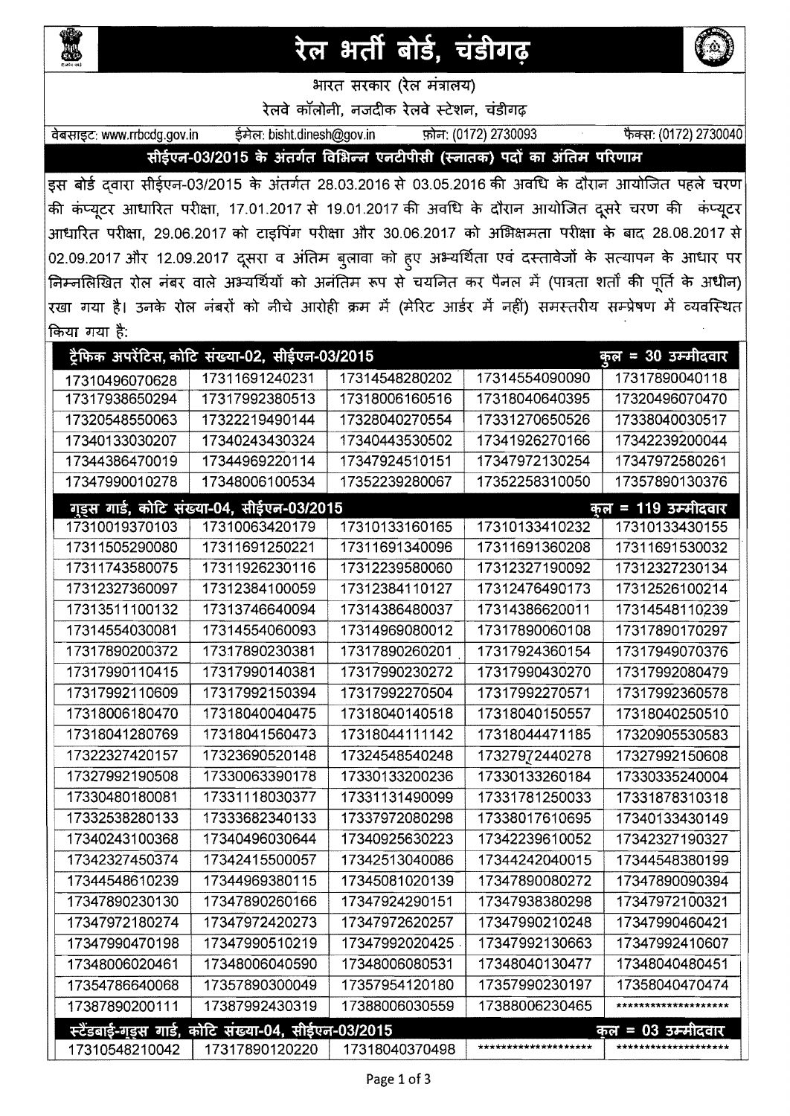

## रेल भर्ती बोर्ड, चंडीगढ़



भारत सरकार (रल मंत्रालय)

रेलवे कॉलोनी, नजदीक रेलवे स्टेशन, चंडीगढ़

त्रेबसाइट: www.rrbcdg.gov.in = ईमेल: bisht.dinesh@gov.in = फ़ोन: (0172) 2730093 फैक्स: (0172) 2730040

सीईएन-03/2015 के अंतर्गत विभिन्न एनटीपीसी (स्नातक) पदों का अंतिम परिणाम

इस बोर्ड द्वारा सीईएन-03/2015 के अंतर्गत 28.03.2016 से 03.05.2016 की अवधि के दौरान आयोजित पहले चरण की कंप्यूटर आधारित परीक्षा, 17.01.2017 से 19.01.2017 की अवधि के दौरान आयोजित दूसरे चरण की कंप्यूटर आधारित परीक्षा, 29.06.2017 को टाइपिंग परीक्षा और 30.06.2017 को अभिक्षमता परीक्षा के बाद 28.08.2017 से 02.09.2017 और 12.09.2017 दूसरा व अंतिम बुलावा को हुए अभ्यर्थिता एवं दस्तावेजों के सत्यापन के आधार पर निम्नलिखित रोल नंबर वाले अभ्यर्थियों को अनंतिम रूप से चयनित कर पैनल में (पात्रता शर्तों की पूर्ति के अधीन) रखा गया है। उनके रोल नंबरों को नीचे आरोही क्रम में (मेरिट आर्डर में नहीं) समस्तरीय सम्प्रेषण में व्यवस्थित किया गया है:

| किया गया है:                                                                  |                                                     |                |                      |                             |  |  |  |  |  |
|-------------------------------------------------------------------------------|-----------------------------------------------------|----------------|----------------------|-----------------------------|--|--|--|--|--|
| ट्रैफिक अपरेंटिस, कोटि संख्या-02, सीईएन-03/2015<br><u> कुल = 30 उम्मीदवार</u> |                                                     |                |                      |                             |  |  |  |  |  |
| 17310496070628                                                                | 17311691240231                                      | 17314548280202 | 17314554090090       | 17317890040118              |  |  |  |  |  |
| 17317938650294                                                                | 17317992380513                                      | 17318006160516 | 17318040640395       | 17320496070470              |  |  |  |  |  |
| 17320548550063                                                                | 17322219490144                                      | 17328040270554 | 17331270650526       | 17338040030517              |  |  |  |  |  |
| 17340133030207                                                                | 17340243430324                                      | 17340443530502 | 17341926270166       | 17342239200044              |  |  |  |  |  |
| 17344386470019                                                                | 17344969220114                                      | 17347924510151 | 17347972130254       | 17347972580261              |  |  |  |  |  |
| 17347990010278                                                                | 17348006100534                                      | 17352239280067 | 17352258310050       | 17357890130376              |  |  |  |  |  |
|                                                                               | गृड्स गार्ड, कोटि संख्या-04, सीईएन-03/2015          |                |                      | <u> कुल = 119 उम्मीदवार</u> |  |  |  |  |  |
| 17310019370103                                                                | 17310063420179                                      | 17310133160165 | 17310133410232       | 17310133430155              |  |  |  |  |  |
| 17311505290080                                                                | 17311691250221                                      | 17311691340096 | 17311691360208       | 17311691530032              |  |  |  |  |  |
| 17311743580075                                                                | 17311926230116                                      | 17312239580060 | 17312327190092       | 17312327230134              |  |  |  |  |  |
| 17312327360097                                                                | 17312384100059                                      | 17312384110127 | 17312476490173       | 17312526100214              |  |  |  |  |  |
| 17313511100132                                                                | 17313746640094                                      | 17314386480037 | 17314386620011       | 17314548110239              |  |  |  |  |  |
| 17314554030081                                                                | 17314554060093                                      | 17314969080012 | 17317890060108       | 17317890170297              |  |  |  |  |  |
| 17317890200372                                                                | 17317890230381                                      | 17317890260201 | 17317924360154       | 17317949070376              |  |  |  |  |  |
| 17317990110415                                                                | 17317990140381                                      | 17317990230272 | 17317990430270       | 17317992080479              |  |  |  |  |  |
| 17317992110609                                                                | 17317992150394                                      | 17317992270504 | 17317992270571       | 17317992360578              |  |  |  |  |  |
| 17318006180470                                                                | 17318040040475                                      | 17318040140518 | 17318040150557       | 17318040250510              |  |  |  |  |  |
| 17318041280769                                                                | 17318041560473                                      | 17318044111142 | 17318044471185       | 17320905530583              |  |  |  |  |  |
| 17322327420157                                                                | 17323690520148                                      | 17324548540248 | 17327972440278       | 17327992150608              |  |  |  |  |  |
| 17327992190508                                                                | 17330063390178                                      | 17330133200236 | 17330133260184       | 17330335240004              |  |  |  |  |  |
| 17330480180081                                                                | 17331118030377                                      | 17331131490099 | 17331781250033       | 17331878310318              |  |  |  |  |  |
| 17332538280133                                                                | 17333682340133                                      | 17337972080298 | 17338017610695       | 17340133430149              |  |  |  |  |  |
| 17340243100368                                                                | 17340496030644                                      | 17340925630223 | 17342239610052       | 17342327190327              |  |  |  |  |  |
| 17342327450374                                                                | 17342415500057                                      | 17342513040086 | 17344242040015       | 17344548380199              |  |  |  |  |  |
| 17344548610239                                                                | 17344969380115                                      | 17345081020139 | 17347890080272       | 17347890090394              |  |  |  |  |  |
| 17347890230130                                                                | 17347890260166                                      | 17347924290151 | 17347938380298       | 17347972100321              |  |  |  |  |  |
| 17347972180274                                                                | 17347972420273                                      | 17347972620257 | 17347990210248       | 17347990460421              |  |  |  |  |  |
| 17347990470198                                                                | 17347990510219                                      | 17347992020425 | 17347992130663       | 17347992410607              |  |  |  |  |  |
| 17348006020461                                                                | 17348006040590                                      | 17348006080531 | 17348040130477       | 17348040480451              |  |  |  |  |  |
| 17354786640068                                                                | 17357890300049                                      | 17357954120180 | 17357990230197       | 17358040470474              |  |  |  |  |  |
| 17387890200111                                                                | 17387992430319                                      | 17388006030559 | 17388006230465       | ********************        |  |  |  |  |  |
|                                                                               | स्टैंडबाई-गड़स गार्ड, कोटि संख्या-04, सीईएन-03/2015 |                |                      | <u> कल = 03 उम्मीदवार</u>   |  |  |  |  |  |
| 17310548210042                                                                | 17317890120220                                      | 17318040370498 | ******************** | ********************        |  |  |  |  |  |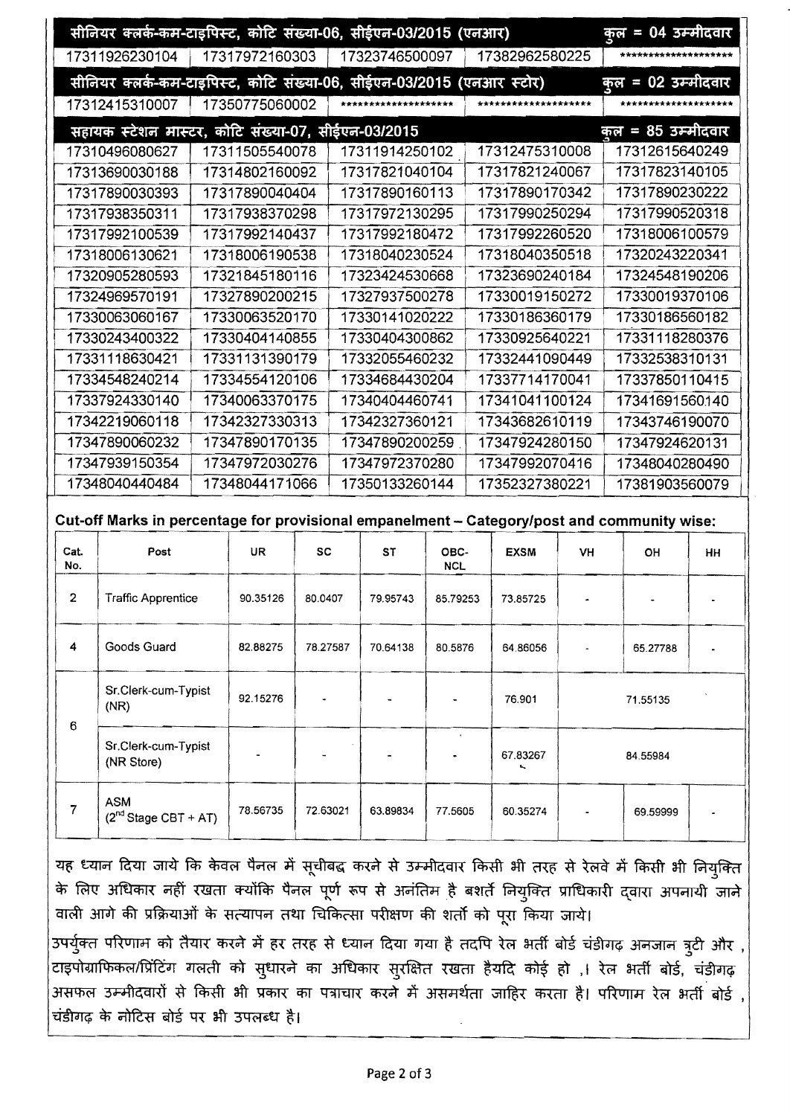| 17382962580225<br>17317972160303<br>17311926230104<br>17323746500097<br>सीनियर क्लर्क-कम-टाइपिस्ट, कोटि संख्या-06, सीईएन-03/2015 (एनआर स्टोर)<br>17350775060002<br>17312415310007<br>*******************<br>********************<br>********************<br>सहायक स्टेशन मास्टर, कोटि संख्या-07, सीईएन-03/2015<br>17312475310008<br>17311505540078<br>17311914250102<br>17312615640249<br>17310496080627<br>17317821040104<br>17317821240067<br>17313690030188<br>17314802160092<br>17317890170342<br>17317890030393<br>17317890040404<br>17317890160113<br>17317972130295<br>17317990250294<br>17317938350311<br>17317938370298<br>17317992140437<br>17317992180472<br>17317992260520<br>17317992100539<br>17318040350518<br>17318006130621<br>17318006190538<br>17318040230524<br>17323690240184<br>17320905280593<br>17321845180116<br>17323424530668<br>17324969570191<br>17327890200215<br>17327937500278<br>17330019150272<br>17330063060167<br>17330063520170<br>17330141020222<br>17330186360179<br>17330243400322<br>17330404140855<br>17330404300862<br>17330925640221<br>17331131390179<br>17331118630421<br>17332055460232<br>17332441090449<br>17334548240214<br>17334554120106<br>17334684430204<br>17337714170041<br>17337924330140<br>17340063370175<br>17341041100124<br>17340404460741<br>17342219060118<br>17342327330313<br>17342327360121<br>17343682610119<br>17347890060232<br>17347890170135<br>17347890200259<br>17347924280150<br>17347939150354<br>17347972030276<br>17347972370280<br>17347992070416<br>17348040440484<br>17348044171066<br>17350133260144<br>17352327380221<br>Cut-off Marks in percentage for provisional empanelment - Category/post and community wise:<br>Cat.<br>Post<br>UR<br><b>SC</b><br><b>ST</b><br>OBC-<br><b>EXSM</b><br>VH<br>OH<br>No.<br><b>NCL</b><br>$\mathbf{2}$<br><b>Traffic Apprentice</b><br>90.35126<br>80.0407<br>79.95743<br>85.79253<br>73.85725<br>Goods Guard<br>4<br>82.88275<br>78.27587<br>70.64138<br>80.5876<br>64.86056<br>65.27788<br>Sr.Clerk-cum-Typist<br>92.15276<br>76.901<br>71.55135<br>(NR)<br>6<br>Sr.Clerk-cum-Typist<br>67.83267<br>84.55984<br>(NR Store)<br><b>ASM</b><br>$\overline{7}$<br>78.56735<br>72.63021<br>63.89834<br>77.5605<br>60.35274<br>69.59999<br>$(2nd Stage CBT + AT)$ |                    | सीनियर क्लर्क-कम-टाइपिस्ट, कोटि संख्या-06, सीईएन-03/2015 (एनआर) |  |  |  |  |  |  |                    |                |                | कुल = 04 उम्मीदवार   |           |  |
|----------------------------------------------------------------------------------------------------------------------------------------------------------------------------------------------------------------------------------------------------------------------------------------------------------------------------------------------------------------------------------------------------------------------------------------------------------------------------------------------------------------------------------------------------------------------------------------------------------------------------------------------------------------------------------------------------------------------------------------------------------------------------------------------------------------------------------------------------------------------------------------------------------------------------------------------------------------------------------------------------------------------------------------------------------------------------------------------------------------------------------------------------------------------------------------------------------------------------------------------------------------------------------------------------------------------------------------------------------------------------------------------------------------------------------------------------------------------------------------------------------------------------------------------------------------------------------------------------------------------------------------------------------------------------------------------------------------------------------------------------------------------------------------------------------------------------------------------------------------------------------------------------------------------------------------------------------------------------------------------------------------------------------------------------------------------------------------------------------------------------------------------------------------------------------------------------------------------------------------------------------------------------------------|--------------------|-----------------------------------------------------------------|--|--|--|--|--|--|--------------------|----------------|----------------|----------------------|-----------|--|
|                                                                                                                                                                                                                                                                                                                                                                                                                                                                                                                                                                                                                                                                                                                                                                                                                                                                                                                                                                                                                                                                                                                                                                                                                                                                                                                                                                                                                                                                                                                                                                                                                                                                                                                                                                                                                                                                                                                                                                                                                                                                                                                                                                                                                                                                                        |                    |                                                                 |  |  |  |  |  |  |                    |                |                | ******************** |           |  |
|                                                                                                                                                                                                                                                                                                                                                                                                                                                                                                                                                                                                                                                                                                                                                                                                                                                                                                                                                                                                                                                                                                                                                                                                                                                                                                                                                                                                                                                                                                                                                                                                                                                                                                                                                                                                                                                                                                                                                                                                                                                                                                                                                                                                                                                                                        |                    |                                                                 |  |  |  |  |  |  | कुल = 02 उम्मीदवार |                |                |                      |           |  |
|                                                                                                                                                                                                                                                                                                                                                                                                                                                                                                                                                                                                                                                                                                                                                                                                                                                                                                                                                                                                                                                                                                                                                                                                                                                                                                                                                                                                                                                                                                                                                                                                                                                                                                                                                                                                                                                                                                                                                                                                                                                                                                                                                                                                                                                                                        |                    |                                                                 |  |  |  |  |  |  |                    |                |                |                      |           |  |
|                                                                                                                                                                                                                                                                                                                                                                                                                                                                                                                                                                                                                                                                                                                                                                                                                                                                                                                                                                                                                                                                                                                                                                                                                                                                                                                                                                                                                                                                                                                                                                                                                                                                                                                                                                                                                                                                                                                                                                                                                                                                                                                                                                                                                                                                                        | कुल = 85 उम्मीदवार |                                                                 |  |  |  |  |  |  |                    |                |                |                      |           |  |
|                                                                                                                                                                                                                                                                                                                                                                                                                                                                                                                                                                                                                                                                                                                                                                                                                                                                                                                                                                                                                                                                                                                                                                                                                                                                                                                                                                                                                                                                                                                                                                                                                                                                                                                                                                                                                                                                                                                                                                                                                                                                                                                                                                                                                                                                                        |                    |                                                                 |  |  |  |  |  |  |                    |                |                |                      |           |  |
|                                                                                                                                                                                                                                                                                                                                                                                                                                                                                                                                                                                                                                                                                                                                                                                                                                                                                                                                                                                                                                                                                                                                                                                                                                                                                                                                                                                                                                                                                                                                                                                                                                                                                                                                                                                                                                                                                                                                                                                                                                                                                                                                                                                                                                                                                        |                    |                                                                 |  |  |  |  |  |  |                    |                | 17317823140105 |                      |           |  |
|                                                                                                                                                                                                                                                                                                                                                                                                                                                                                                                                                                                                                                                                                                                                                                                                                                                                                                                                                                                                                                                                                                                                                                                                                                                                                                                                                                                                                                                                                                                                                                                                                                                                                                                                                                                                                                                                                                                                                                                                                                                                                                                                                                                                                                                                                        |                    |                                                                 |  |  |  |  |  |  |                    | 17317890230222 |                |                      |           |  |
|                                                                                                                                                                                                                                                                                                                                                                                                                                                                                                                                                                                                                                                                                                                                                                                                                                                                                                                                                                                                                                                                                                                                                                                                                                                                                                                                                                                                                                                                                                                                                                                                                                                                                                                                                                                                                                                                                                                                                                                                                                                                                                                                                                                                                                                                                        |                    |                                                                 |  |  |  |  |  |  | 17317990520318     |                |                |                      |           |  |
|                                                                                                                                                                                                                                                                                                                                                                                                                                                                                                                                                                                                                                                                                                                                                                                                                                                                                                                                                                                                                                                                                                                                                                                                                                                                                                                                                                                                                                                                                                                                                                                                                                                                                                                                                                                                                                                                                                                                                                                                                                                                                                                                                                                                                                                                                        |                    |                                                                 |  |  |  |  |  |  |                    | 17318006100579 |                |                      |           |  |
|                                                                                                                                                                                                                                                                                                                                                                                                                                                                                                                                                                                                                                                                                                                                                                                                                                                                                                                                                                                                                                                                                                                                                                                                                                                                                                                                                                                                                                                                                                                                                                                                                                                                                                                                                                                                                                                                                                                                                                                                                                                                                                                                                                                                                                                                                        |                    |                                                                 |  |  |  |  |  |  | 17320243220341     |                |                |                      |           |  |
|                                                                                                                                                                                                                                                                                                                                                                                                                                                                                                                                                                                                                                                                                                                                                                                                                                                                                                                                                                                                                                                                                                                                                                                                                                                                                                                                                                                                                                                                                                                                                                                                                                                                                                                                                                                                                                                                                                                                                                                                                                                                                                                                                                                                                                                                                        |                    |                                                                 |  |  |  |  |  |  | 17324548190206     |                |                |                      |           |  |
|                                                                                                                                                                                                                                                                                                                                                                                                                                                                                                                                                                                                                                                                                                                                                                                                                                                                                                                                                                                                                                                                                                                                                                                                                                                                                                                                                                                                                                                                                                                                                                                                                                                                                                                                                                                                                                                                                                                                                                                                                                                                                                                                                                                                                                                                                        |                    |                                                                 |  |  |  |  |  |  | 17330019370106     |                |                |                      |           |  |
|                                                                                                                                                                                                                                                                                                                                                                                                                                                                                                                                                                                                                                                                                                                                                                                                                                                                                                                                                                                                                                                                                                                                                                                                                                                                                                                                                                                                                                                                                                                                                                                                                                                                                                                                                                                                                                                                                                                                                                                                                                                                                                                                                                                                                                                                                        |                    |                                                                 |  |  |  |  |  |  |                    |                | 17330186560182 |                      |           |  |
|                                                                                                                                                                                                                                                                                                                                                                                                                                                                                                                                                                                                                                                                                                                                                                                                                                                                                                                                                                                                                                                                                                                                                                                                                                                                                                                                                                                                                                                                                                                                                                                                                                                                                                                                                                                                                                                                                                                                                                                                                                                                                                                                                                                                                                                                                        |                    |                                                                 |  |  |  |  |  |  |                    | 17331118280376 |                |                      |           |  |
|                                                                                                                                                                                                                                                                                                                                                                                                                                                                                                                                                                                                                                                                                                                                                                                                                                                                                                                                                                                                                                                                                                                                                                                                                                                                                                                                                                                                                                                                                                                                                                                                                                                                                                                                                                                                                                                                                                                                                                                                                                                                                                                                                                                                                                                                                        |                    |                                                                 |  |  |  |  |  |  |                    |                | 17332538310131 |                      |           |  |
|                                                                                                                                                                                                                                                                                                                                                                                                                                                                                                                                                                                                                                                                                                                                                                                                                                                                                                                                                                                                                                                                                                                                                                                                                                                                                                                                                                                                                                                                                                                                                                                                                                                                                                                                                                                                                                                                                                                                                                                                                                                                                                                                                                                                                                                                                        |                    |                                                                 |  |  |  |  |  |  |                    |                | 17337850110415 |                      |           |  |
|                                                                                                                                                                                                                                                                                                                                                                                                                                                                                                                                                                                                                                                                                                                                                                                                                                                                                                                                                                                                                                                                                                                                                                                                                                                                                                                                                                                                                                                                                                                                                                                                                                                                                                                                                                                                                                                                                                                                                                                                                                                                                                                                                                                                                                                                                        |                    |                                                                 |  |  |  |  |  |  |                    | 17341691560140 |                |                      |           |  |
|                                                                                                                                                                                                                                                                                                                                                                                                                                                                                                                                                                                                                                                                                                                                                                                                                                                                                                                                                                                                                                                                                                                                                                                                                                                                                                                                                                                                                                                                                                                                                                                                                                                                                                                                                                                                                                                                                                                                                                                                                                                                                                                                                                                                                                                                                        |                    |                                                                 |  |  |  |  |  |  | 17343746190070     |                |                |                      |           |  |
|                                                                                                                                                                                                                                                                                                                                                                                                                                                                                                                                                                                                                                                                                                                                                                                                                                                                                                                                                                                                                                                                                                                                                                                                                                                                                                                                                                                                                                                                                                                                                                                                                                                                                                                                                                                                                                                                                                                                                                                                                                                                                                                                                                                                                                                                                        |                    |                                                                 |  |  |  |  |  |  |                    | 17347924620131 |                |                      |           |  |
|                                                                                                                                                                                                                                                                                                                                                                                                                                                                                                                                                                                                                                                                                                                                                                                                                                                                                                                                                                                                                                                                                                                                                                                                                                                                                                                                                                                                                                                                                                                                                                                                                                                                                                                                                                                                                                                                                                                                                                                                                                                                                                                                                                                                                                                                                        |                    |                                                                 |  |  |  |  |  |  |                    | 17348040280490 |                |                      |           |  |
|                                                                                                                                                                                                                                                                                                                                                                                                                                                                                                                                                                                                                                                                                                                                                                                                                                                                                                                                                                                                                                                                                                                                                                                                                                                                                                                                                                                                                                                                                                                                                                                                                                                                                                                                                                                                                                                                                                                                                                                                                                                                                                                                                                                                                                                                                        |                    |                                                                 |  |  |  |  |  |  |                    |                | 17381903560079 |                      |           |  |
|                                                                                                                                                                                                                                                                                                                                                                                                                                                                                                                                                                                                                                                                                                                                                                                                                                                                                                                                                                                                                                                                                                                                                                                                                                                                                                                                                                                                                                                                                                                                                                                                                                                                                                                                                                                                                                                                                                                                                                                                                                                                                                                                                                                                                                                                                        |                    |                                                                 |  |  |  |  |  |  |                    |                |                |                      |           |  |
|                                                                                                                                                                                                                                                                                                                                                                                                                                                                                                                                                                                                                                                                                                                                                                                                                                                                                                                                                                                                                                                                                                                                                                                                                                                                                                                                                                                                                                                                                                                                                                                                                                                                                                                                                                                                                                                                                                                                                                                                                                                                                                                                                                                                                                                                                        |                    |                                                                 |  |  |  |  |  |  |                    |                |                |                      |           |  |
|                                                                                                                                                                                                                                                                                                                                                                                                                                                                                                                                                                                                                                                                                                                                                                                                                                                                                                                                                                                                                                                                                                                                                                                                                                                                                                                                                                                                                                                                                                                                                                                                                                                                                                                                                                                                                                                                                                                                                                                                                                                                                                                                                                                                                                                                                        |                    |                                                                 |  |  |  |  |  |  |                    |                |                |                      | <b>HH</b> |  |
|                                                                                                                                                                                                                                                                                                                                                                                                                                                                                                                                                                                                                                                                                                                                                                                                                                                                                                                                                                                                                                                                                                                                                                                                                                                                                                                                                                                                                                                                                                                                                                                                                                                                                                                                                                                                                                                                                                                                                                                                                                                                                                                                                                                                                                                                                        |                    |                                                                 |  |  |  |  |  |  |                    |                |                |                      |           |  |
|                                                                                                                                                                                                                                                                                                                                                                                                                                                                                                                                                                                                                                                                                                                                                                                                                                                                                                                                                                                                                                                                                                                                                                                                                                                                                                                                                                                                                                                                                                                                                                                                                                                                                                                                                                                                                                                                                                                                                                                                                                                                                                                                                                                                                                                                                        |                    |                                                                 |  |  |  |  |  |  |                    |                |                |                      |           |  |
|                                                                                                                                                                                                                                                                                                                                                                                                                                                                                                                                                                                                                                                                                                                                                                                                                                                                                                                                                                                                                                                                                                                                                                                                                                                                                                                                                                                                                                                                                                                                                                                                                                                                                                                                                                                                                                                                                                                                                                                                                                                                                                                                                                                                                                                                                        |                    |                                                                 |  |  |  |  |  |  |                    |                |                |                      |           |  |
|                                                                                                                                                                                                                                                                                                                                                                                                                                                                                                                                                                                                                                                                                                                                                                                                                                                                                                                                                                                                                                                                                                                                                                                                                                                                                                                                                                                                                                                                                                                                                                                                                                                                                                                                                                                                                                                                                                                                                                                                                                                                                                                                                                                                                                                                                        |                    |                                                                 |  |  |  |  |  |  |                    |                |                |                      |           |  |
|                                                                                                                                                                                                                                                                                                                                                                                                                                                                                                                                                                                                                                                                                                                                                                                                                                                                                                                                                                                                                                                                                                                                                                                                                                                                                                                                                                                                                                                                                                                                                                                                                                                                                                                                                                                                                                                                                                                                                                                                                                                                                                                                                                                                                                                                                        |                    |                                                                 |  |  |  |  |  |  |                    |                |                |                      |           |  |

!.<:rJii1 fcn ~"# fI'C.l'JiSllft \*3<hH~C;(H'( <1W \* W"# <sup>~</sup>f;i'Qfcffi ~ ~ के लिए अधिकार नहीं रखता क्योंकि पैनल पूर्ण रूप से अनंतिम है बशर्ते नियुक्ति प्राधिकारी द्वारा अपनायी जाने आगे की प्रक्रियाओं के सत्यापन तथा चिकित्सा परीक्षण की शर्तो को पूरा किया जाये।

पाला जाग का प्राक्रयाजा के सत्यापन तया ।चाकत्सा पराक्षण का शता का पूरा ।कया जाय।<br>उपर्युक्त परिणाम को तैयार करने में हर तरह से ध्यान दिया गया है तदपि रेल भर्ती बोर्ड चंडीगढ़ अनजान त्रुटी और , पर तरह आवकार कहा रखता पंचामा पहले पूरा रूप से अनातम है बरात मियुक्ति प्राचिकारा द्वारा अपनाया जान<br>वाली आगे की प्रक्रियाओं के सत्यापन तथा चिकित्सा परीक्षण की शर्तों को पूरा किया जाये।<br>उपर्युक्त परिणाम को तैयार करने में हर टाइपोग्राफिकल/प्रिंटिंग गलती को सुधारने का अधिकार सुरक्षित रखता हैयदि कोई हो ,। रेल भर्ती बोर्ड, चंडीगढ़<br>असफल उम्मीदवारों से किसी भी प्रकार का पत्राचार करने में असमर्थता जाहिर करता है। परिणाम रेल भर्ती बोर्ड , चंडीगढ़ के नोटिस बोर्ड पर भी उपलब्ध है।